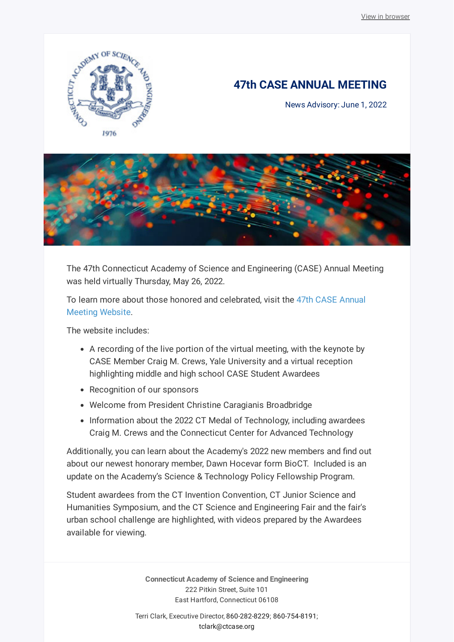

## **47th CASE ANNUAL MEETING**

News Advisory: June 1, 2022



The 47th Connecticut Academy of Science and Engineering (CASE) Annual Meeting was held virtually Thursday, May 26, 2022.

[To learn more about those honored and celebrated, visit the 47th CASE Annual](http://caseannualmeeting.org/) Meeting Website.

The website includes:

- A recording of the live portion of the virtual meeting, with the keynote by CASE Member Craig M. Crews, Yale University and a virtual reception highlighting middle and high school CASE Student Awardees
- Recognition of our sponsors
- Welcome from President Christine Caragianis Broadbridge
- Information about the 2022 CT Medal of Technology, including awardees Craig M. Crews and the Connecticut Center for Advanced Technology

Additionally, you can learn about the Academy's 2022 new members and find out about our newest honorary member, Dawn Hocevar form BioCT. Included is an update on the Academy's Science & Technology Policy Fellowship Program.

Student awardees from the CT Invention Convention, CT Junior Science and Humanities Symposium, and the CT Science and Engineering Fair and the fair's urban school challenge are highlighted, with videos prepared by the Awardees available for viewing.

> **Connecticut Academy of Science and Engineering** 222 Pitkin Street, Suite 101 East Hartford, Connecticut 06108

Terri Clark, Executive Director, [860-282-8229;](tel:860-282-8229) [860-754-8191;](tel:860-754-8191) [tclark@ctcase.org](mailto:tclark@ctcase.org)